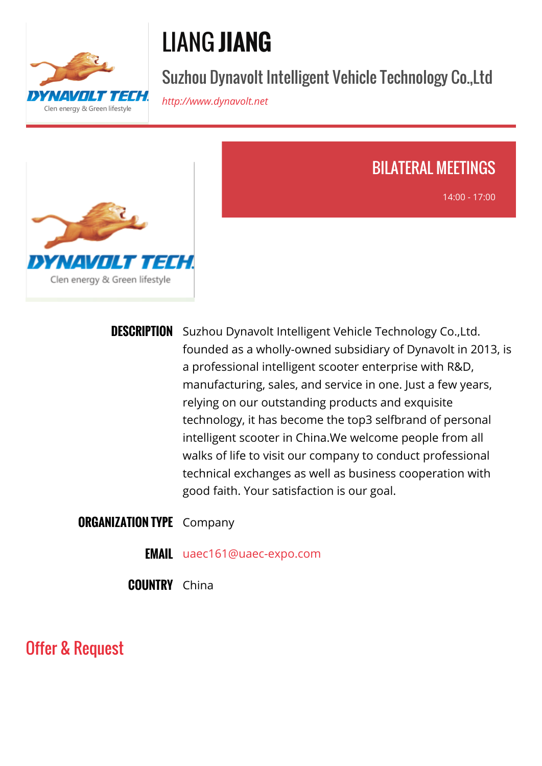

# LIANG **JIANG**

## Suzhou Dynavolt Intelligent Vehicle Technology Co.,Ltd

*<http://www.dynavolt.net>*



### BILATERAL MEETINGS

14:00 - 17:00

**DESCRIPTION** Suzhou Dynavolt Intelligent Vehicle Technology Co.,Ltd. founded as a wholly-owned subsidiary of Dynavolt in 2013, is a professional intelligent scooter enterprise with R&D, manufacturing, sales, and service in one. Just a few years, relying on our outstanding products and exquisite technology, it has become the top3 selfbrand of personal intelligent scooter in China.We welcome people from all walks of life to visit our company to conduct professional technical exchanges as well as business cooperation with good faith. Your satisfaction is our goal.

#### **ORGANIZATION TYPE** Company

- **EMAIL** [uaec161@uaec-expo.com](mailto:uaec161@uaec-expo.com)
- **COUNTRY** China

Offer & Request